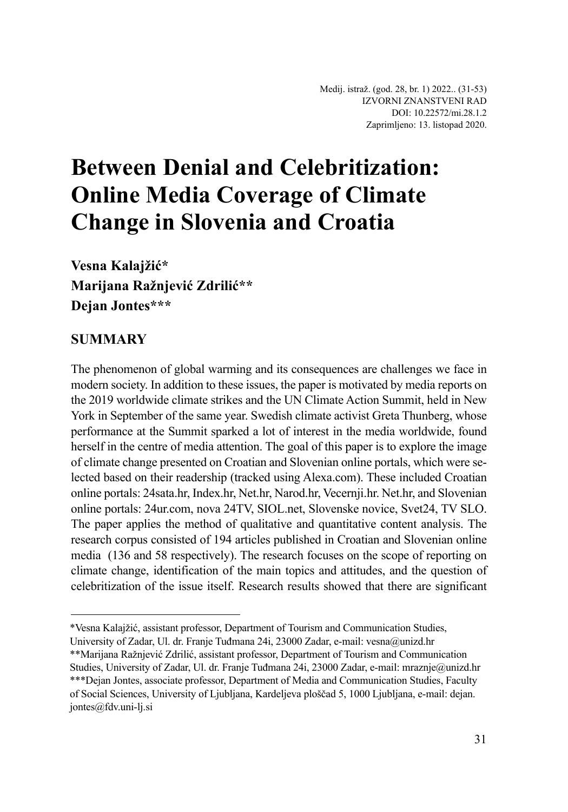# **Between Denial and Celebritization: Online Media Coverage of Climate Change in Slovenia and Croatia**

**Vesna Kalajžić\* Marijana Ražnjević Zdrilić\*\* Dejan Jontes\*\*\***

# **SUMMARY**

The phenomenon of global warming and its consequences are challenges we face in modern society. In addition to these issues, the paper is motivated by media reports on the 2019 worldwide climate strikes and the UN Climate Action Summit, held in New York in September of the same year. Swedish climate activist Greta Thunberg, whose performance at the Summit sparked a lot of interest in the media worldwide, found herself in the centre of media attention. The goal of this paper is to explore the image of climate change presented on Croatian and Slovenian online portals, which were selected based on their readership (tracked using Alexa.com). These included Croatian online portals: 24sata.hr, Index.hr, Net.hr, Narod.hr, Vecernji.hr. Net.hr, and Slovenian online portals: 24ur.com, nova 24TV, SIOL.net, Slovenske novice, Svet24, TV SLO. The paper applies the method of qualitative and quantitative content analysis. The research corpus consisted of 194 articles published in Croatian and Slovenian online media (136 and 58 respectively). The research focuses on the scope of reporting on climate change, identification of the main topics and attitudes, and the question of celebritization of the issue itself. Research results showed that there are significant

<sup>\*</sup>Vesna Kalajžić, assistant professor, Department of Tourism and Communication Studies,

University of Zadar, Ul. dr. Franje Tuđmana 24i, 23000 Zadar, e-mail: vesna@unizd.hr

<sup>\*\*</sup>Marijana Ražnjević Zdrilić, assistant professor, Department of Tourism and Communication Studies, University of Zadar, Ul. dr. Franje Tuđmana 24i, 23000 Zadar, e-mail: mraznje@unizd.hr \*\*\*Dejan Jontes, associate professor, Department of Media and Communication Studies, Faculty of Social Sciences, University of Ljubljana, Kardeljeva ploščad 5, 1000 Ljubljana, e-mail: dejan. jontes@fdv.uni-lj.si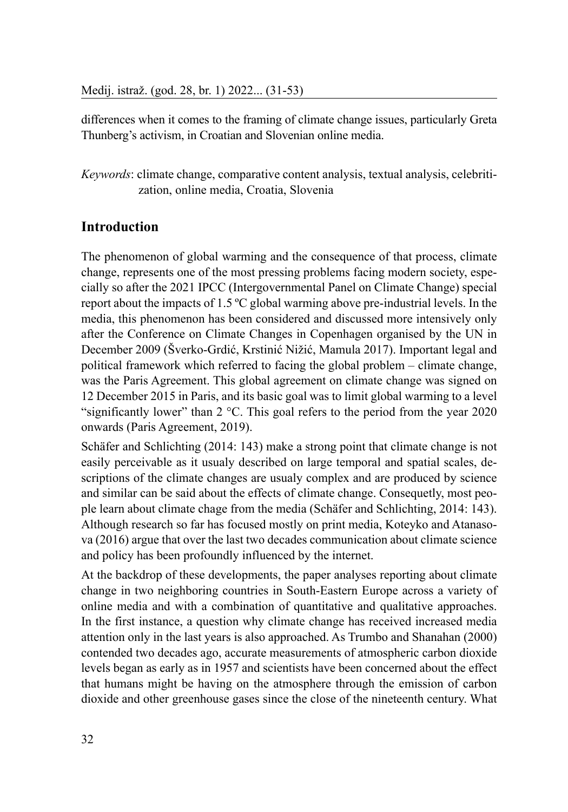differences when it comes to the framing of climate change issues, particularly Greta Thunberg's activism, in Croatian and Slovenian online media.

*Keywords*: climate change, comparative content analysis, textual analysis, celebritization, online media, Croatia, Slovenia

#### **Introduction**

The phenomenon of global warming and the consequence of that process, climate change, represents one of the most pressing problems facing modern society, especially so after the 2021 IPCC (Intergovernmental Panel on Climate Change) special report about the impacts of 1.5 ºC global warming above pre-industrial levels. In the media, this phenomenon has been considered and discussed more intensively only after the Conference on Climate Changes in Copenhagen organised by the UN in December 2009 (Šverko-Grdić, Krstinić Nižić, Mamula 2017). Important legal and political framework which referred to facing the global problem – climate change, was the Paris Agreement. This global agreement on climate change was signed on 12 December 2015 in Paris, and its basic goal was to limit global warming to a level "significantly lower" than 2 °C. This goal refers to the period from the year 2020 onwards (Paris Agreement, 2019).

Schäfer and Schlichting (2014: 143) make a strong point that climate change is not easily perceivable as it usualy described on large temporal and spatial scales, descriptions of the climate changes are usualy complex and are produced by science and similar can be said about the effects of climate change. Consequetly, most people learn about climate chage from the media (Schäfer and Schlichting, 2014: 143). Although research so far has focused mostly on print media, Koteyko and Atanasova (2016) argue that over the last two decades communication about climate science and policy has been profoundly influenced by the internet.

At the backdrop of these developments, the paper analyses reporting about climate change in two neighboring countries in South-Eastern Europe across a variety of online media and with a combination of quantitative and qualitative approaches. In the first instance, a question why climate change has received increased media attention only in the last years is also approached. As Trumbo and Shanahan (2000) contended two decades ago, accurate measurements of atmospheric carbon dioxide levels began as early as in 1957 and scientists have been concerned about the effect that humans might be having on the atmosphere through the emission of carbon dioxide and other greenhouse gases since the close of the nineteenth century. What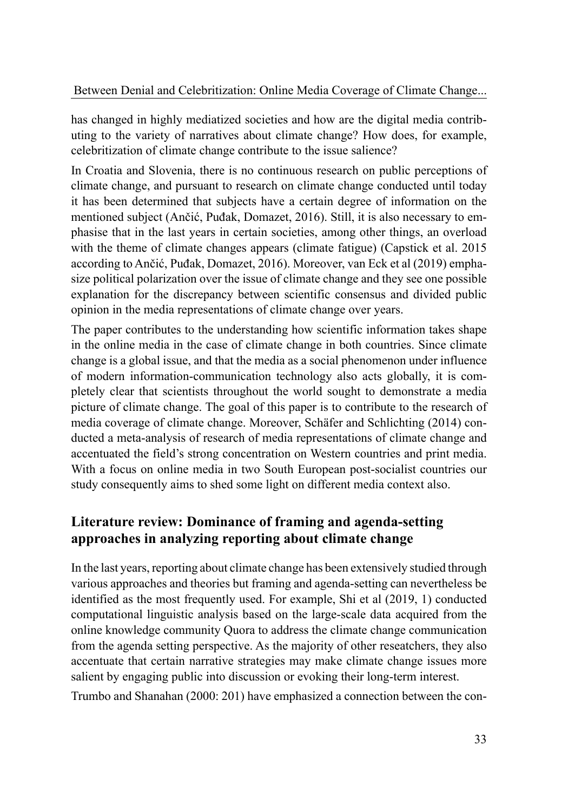has changed in highly mediatized societies and how are the digital media contributing to the variety of narratives about climate change? How does, for example, celebritization of climate change contribute to the issue salience?

In Croatia and Slovenia, there is no continuous research on public perceptions of climate change, and pursuant to research on climate change conducted until today it has been determined that subjects have a certain degree of information on the mentioned subject (Ančić, Puđak, Domazet, 2016). Still, it is also necessary to emphasise that in the last years in certain societies, among other things, an overload with the theme of climate changes appears (climate fatigue) (Capstick et al. 2015 according to Ančić, Puđak, Domazet, 2016). Moreover, van Eck et al (2019) emphasize political polarization over the issue of climate change and they see one possible explanation for the discrepancy between scientific consensus and divided public opinion in the media representations of climate change over years.

The paper contributes to the understanding how scientific information takes shape in the online media in the case of climate change in both countries. Since climate change is a global issue, and that the media as a social phenomenon under influence of modern information-communication technology also acts globally, it is completely clear that scientists throughout the world sought to demonstrate a media picture of climate change. The goal of this paper is to contribute to the research of media coverage of climate change. Moreover, Schäfer and Schlichting (2014) conducted a meta-analysis of research of media representations of climate change and accentuated the field's strong concentration on Western countries and print media. With a focus on online media in two South European post-socialist countries our study consequently aims to shed some light on different media context also.

### **Literature review: Dominance of framing and agenda-setting approaches in analyzing reporting about climate change**

In the last years, reporting about climate change has been extensively studied through various approaches and theories but framing and agenda-setting can nevertheless be identified as the most frequently used. For example, Shi et al (2019, 1) conducted computational linguistic analysis based on the large-scale data acquired from the online knowledge community Quora to address the climate change communication from the agenda setting perspective. As the majority of other reseatchers, they also accentuate that certain narrative strategies may make climate change issues more salient by engaging public into discussion or evoking their long-term interest.

Trumbo and Shanahan (2000: 201) have emphasized a connection between the con-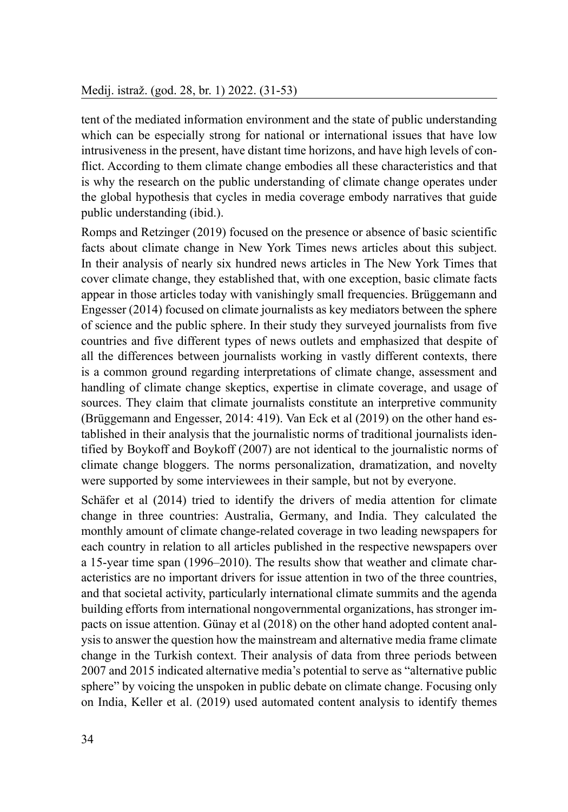#### Medij. istraž. (god. 28, br. 1) 2022. (31-53)

tent of the mediated information environment and the state of public understanding which can be especially strong for national or international issues that have low intrusiveness in the present, have distant time horizons, and have high levels of conflict. According to them climate change embodies all these characteristics and that is why the research on the public understanding of climate change operates under the global hypothesis that cycles in media coverage embody narratives that guide public understanding (ibid.).

Romps and Retzinger (2019) focused on the presence or absence of basic scientific facts about climate change in New York Times news articles about this subject. In their analysis of nearly six hundred news articles in The New York Times that cover climate change, they established that, with one exception, basic climate facts appear in those articles today with vanishingly small frequencies. Brüggemann and Engesser (2014) focused on climate journalists as key mediators between the sphere of science and the public sphere. In their study they surveyed journalists from five countries and five different types of news outlets and emphasized that despite of all the differences between journalists working in vastly different contexts, there is a common ground regarding interpretations of climate change, assessment and handling of climate change skeptics, expertise in climate coverage, and usage of sources. They claim that climate journalists constitute an interpretive community (Brüggemann and Engesser, 2014: 419). Van Eck et al (2019) on the other hand established in their analysis that the journalistic norms of traditional journalists identified by Boykoff and Boykoff (2007) are not identical to the journalistic norms of climate change bloggers. The norms personalization, dramatization, and novelty were supported by some interviewees in their sample, but not by everyone.

Schäfer et al (2014) tried to identify the drivers of media attention for climate change in three countries: Australia, Germany, and India. They calculated the monthly amount of climate change-related coverage in two leading newspapers for each country in relation to all articles published in the respective newspapers over a 15-year time span (1996–2010). The results show that weather and climate characteristics are no important drivers for issue attention in two of the three countries, and that societal activity, particularly international climate summits and the agenda building efforts from international nongovernmental organizations, has stronger impacts on issue attention. Günay et al (2018) on the other hand adopted content analysis to answer the question how the mainstream and alternative media frame climate change in the Turkish context. Their analysis of data from three periods between 2007 and 2015 indicated alternative media's potential to serve as "alternative public sphere" by voicing the unspoken in public debate on climate change. Focusing only on India, Keller et al. (2019) used automated content analysis to identify themes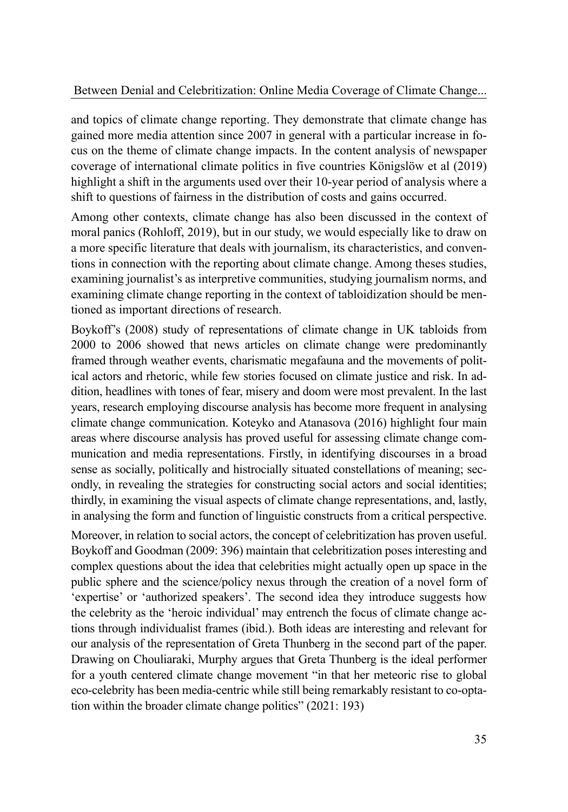and topics of climate change reporting. They demonstrate that climate change has gained more media attention since 2007 in general with a particular increase in focus on the theme of climate change impacts. In the content analysis of newspaper coverage of international climate politics in five countries Königslöw et al (2019) highlight a shift in the arguments used over their 10-year period of analysis where a shift to questions of fairness in the distribution of costs and gains occurred.

Among other contexts, climate change has also been discussed in the context of moral panics (Rohloff, 2019), but in our study, we would especially like to draw on a more specific literature that deals with journalism, its characteristics, and conventions in connection with the reporting about climate change. Among theses studies, examining journalist's as interpretive communities, studying journalism norms, and examining climate change reporting in the context of tabloidization should be mentioned as important directions of research.

Boykoff's (2008) study of representations of climate change in UK tabloids from 2000 to 2006 showed that news articles on climate change were predominantly framed through weather events, charismatic megafauna and the movements of political actors and rhetoric, while few stories focused on climate justice and risk. In addition, headlines with tones of fear, misery and doom were most prevalent. In the last years, research employing discourse analysis has become more frequent in analysing climate change communication. Koteyko and Atanasova (2016) highlight four main areas where discourse analysis has proved useful for assessing climate change communication and media representations. Firstly, in identifying discourses in a broad sense as socially, politically and histrocially situated constellations of meaning; secondly, in revealing the strategies for constructing social actors and social identities; thirdly, in examining the visual aspects of climate change representations, and, lastly, in analysing the form and function of linguistic constructs from a critical perspective.

Moreover, in relation to social actors, the concept of celebritization has proven useful. Boykoff and Goodman (2009: 396) maintain that celebritization poses interesting and complex questions about the idea that celebrities might actually open up space in the public sphere and the science/policy nexus through the creation of a novel form of 'expertise' or 'authorized speakers'. The second idea they introduce suggests how the celebrity as the 'heroic individual' may entrench the focus of climate change actions through individualist frames (ibid.). Both ideas are interesting and relevant for our analysis of the representation of Greta Thunberg in the second part of the paper. Drawing on Chouliaraki, Murphy argues that Greta Thunberg is the ideal performer for a youth centered climate change movement "in that her meteoric rise to global eco-celebrity has been media-centric while still being remarkably resistant to co-optation within the broader climate change politics" (2021: 193)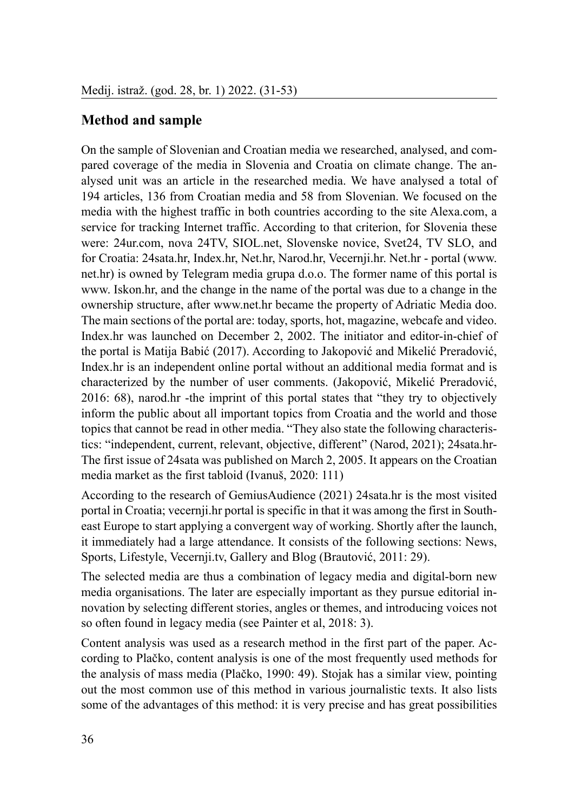### **Method and sample**

On the sample of Slovenian and Croatian media we researched, analysed, and compared coverage of the media in Slovenia and Croatia on climate change. The analysed unit was an article in the researched media. We have analysed a total of 194 articles, 136 from Croatian media and 58 from Slovenian. We focused on the media with the highest traffic in both countries according to the site Alexa.com, a service for tracking Internet traffic. According to that criterion, for Slovenia these were: 24ur.com, nova 24TV, SIOL.net, Slovenske novice, Svet24, TV SLO, and for Croatia: 24sata.hr, Index.hr, Net.hr, Narod.hr, Vecernji.hr. Net.hr - portal (www. net.hr) is owned by Telegram media grupa d.o.o. The former name of this portal is www. Iskon.hr, and the change in the name of the portal was due to a change in the ownership structure, after www.net.hr became the property of Adriatic Media doo. The main sections of the portal are: today, sports, hot, magazine, webcafe and video. Index.hr was launched on December 2, 2002. The initiator and editor-in-chief of the portal is Matija Babić (2017). According to Jakopović and Mikelić Preradović, Index.hr is an independent online portal without an additional media format and is characterized by the number of user comments. (Jakopović, Mikelić Preradović, 2016: 68), narod.hr -the imprint of this portal states that "they try to objectively inform the public about all important topics from Croatia and the world and those topics that cannot be read in other media. "They also state the following characteristics: "independent, current, relevant, objective, different" (Narod, 2021); 24sata.hr-The first issue of 24sata was published on March 2, 2005. It appears on the Croatian media market as the first tabloid (Ivanuš, 2020: 111)

According to the research of GemiusAudience (2021) 24sata.hr is the most visited portal in Croatia; vecernji.hr portal is specific in that it was among the first in Southeast Europe to start applying a convergent way of working. Shortly after the launch, it immediately had a large attendance. It consists of the following sections: News, Sports, Lifestyle, Vecernji.tv, Gallery and Blog (Brautović, 2011: 29).

The selected media are thus a combination of legacy media and digital-born new media organisations. The later are especially important as they pursue editorial innovation by selecting different stories, angles or themes, and introducing voices not so often found in legacy media (see Painter et al, 2018: 3).

Content analysis was used as a research method in the first part of the paper. According to Plačko, content analysis is one of the most frequently used methods for the analysis of mass media (Plačko, 1990: 49). Stojak has a similar view, pointing out the most common use of this method in various journalistic texts. It also lists some of the advantages of this method: it is very precise and has great possibilities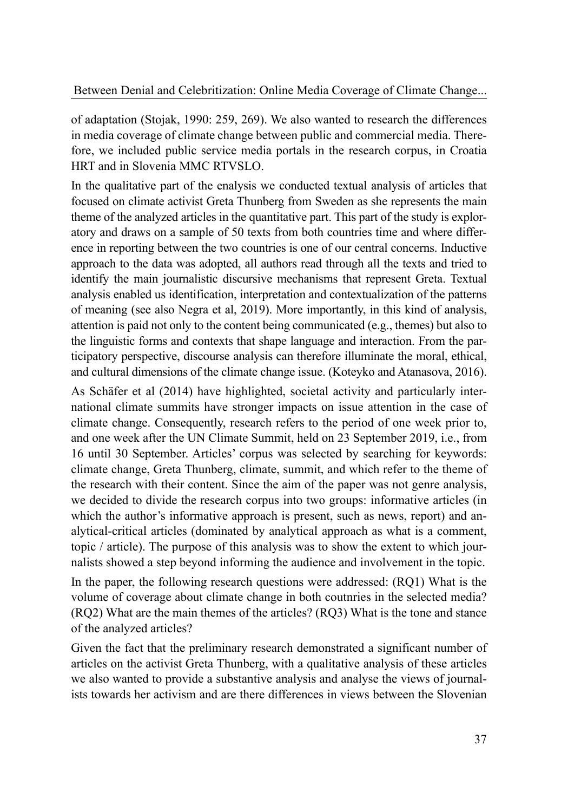of adaptation (Stojak, 1990: 259, 269). We also wanted to research the differences in media coverage of climate change between public and commercial media. Therefore, we included public service media portals in the research corpus, in Croatia HRT and in Slovenia MMC RTVSLO.

In the qualitative part of the enalysis we conducted textual analysis of articles that focused on climate activist Greta Thunberg from Sweden as she represents the main theme of the analyzed articles in the quantitative part. This part of the study is exploratory and draws on a sample of 50 texts from both countries time and where difference in reporting between the two countries is one of our central concerns. Inductive approach to the data was adopted, all authors read through all the texts and tried to identify the main journalistic discursive mechanisms that represent Greta. Textual analysis enabled us identification, interpretation and contextualization of the patterns of meaning (see also Negra et al, 2019). More importantly, in this kind of analysis, attention is paid not only to the content being communicated (e.g., themes) but also to the linguistic forms and contexts that shape language and interaction. From the participatory perspective, discourse analysis can therefore illuminate the moral, ethical, and cultural dimensions of the climate change issue. (Koteyko and Atanasova, 2016).

As Schäfer et al (2014) have highlighted, societal activity and particularly international climate summits have stronger impacts on issue attention in the case of climate change. Consequently, research refers to the period of one week prior to, and one week after the UN Climate Summit, held on 23 September 2019, i.e., from 16 until 30 September. Articles' corpus was selected by searching for keywords: climate change, Greta Thunberg, climate, summit, and which refer to the theme of the research with their content. Since the aim of the paper was not genre analysis, we decided to divide the research corpus into two groups: informative articles (in which the author's informative approach is present, such as news, report) and analytical-critical articles (dominated by analytical approach as what is a comment, topic / article). The purpose of this analysis was to show the extent to which journalists showed a step beyond informing the audience and involvement in the topic.

In the paper, the following research questions were addressed: (RQ1) What is the volume of coverage about climate change in both coutnries in the selected media? (RQ2) What are the main themes of the articles? (RQ3) What is the tone and stance of the analyzed articles?

Given the fact that the preliminary research demonstrated a significant number of articles on the activist Greta Thunberg, with a qualitative analysis of these articles we also wanted to provide a substantive analysis and analyse the views of journalists towards her activism and are there differences in views between the Slovenian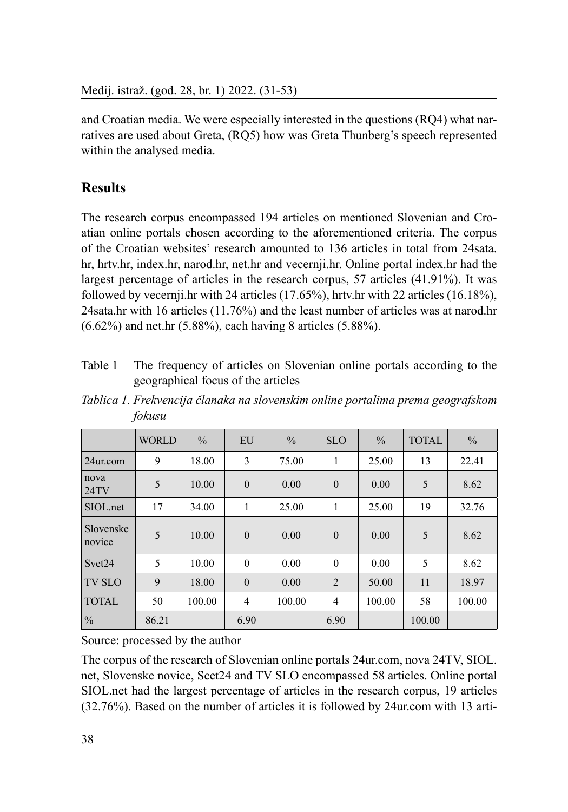and Croatian media. We were especially interested in the questions (RQ4) what narratives are used about Greta, (RQ5) how was Greta Thunberg's speech represented within the analysed media.

# **Results**

The research corpus encompassed 194 articles on mentioned Slovenian and Croatian online portals chosen according to the aforementioned criteria. The corpus of the Croatian websites' research amounted to 136 articles in total from 24sata. hr, hrtv.hr, index.hr, narod.hr, net.hr and vecernji.hr. Online portal index.hr had the largest percentage of articles in the research corpus, 57 articles (41.91%). It was followed by vecernji.hr with 24 articles (17.65%), hrtv.hr with 22 articles (16.18%), 24sata.hr with 16 articles (11.76%) and the least number of articles was at narod.hr (6.62%) and net.hr (5.88%), each having 8 articles (5.88%).

Table 1 The frequency of articles on Slovenian online portals according to the geographical focus of the articles

|                     | <b>WORLD</b> | $\frac{0}{0}$ | EU             | $\frac{0}{0}$ | <b>SLO</b>     | $\frac{0}{0}$ | <b>TOTAL</b> | $\frac{0}{0}$ |
|---------------------|--------------|---------------|----------------|---------------|----------------|---------------|--------------|---------------|
| 24ur.com            | 9            | 18.00         | 3              | 75.00         | 1              | 25.00         | 13           | 22.41         |
| nova<br>24TV        | 5            | 10.00         | $\theta$       | 0.00          | $\mathbf{0}$   | 0.00          | 5            | 8.62          |
| SIOL.net            | 17           | 34.00         | 1              | 25.00         | 1              | 25.00         | 19           | 32.76         |
| Slovenske<br>novice | 5            | 10.00         | $\mathbf{0}$   | 0.00          | $\mathbf{0}$   | 0.00          | 5            | 8.62          |
| Svet24              | 5            | 10.00         | $\theta$       | 0.00          | $\theta$       | 0.00          | 5            | 8.62          |
| <b>TV SLO</b>       | 9            | 18.00         | $\theta$       | 0.00          | $\overline{2}$ | 50.00         | 11           | 18.97         |
| <b>TOTAL</b>        | 50           | 100.00        | $\overline{4}$ | 100.00        | 4              | 100.00        | 58           | 100.00        |
| $\frac{0}{0}$       | 86.21        |               | 6.90           |               | 6.90           |               | 100.00       |               |

*Tablica 1. Frekvencija članaka na slovenskim online portalima prema geografskom fokusu*

Source: processed by the author

The corpus of the research of Slovenian online portals 24ur.com, nova 24TV, SIOL. net, Slovenske novice, Scet24 and TV SLO encompassed 58 articles. Online portal SIOL.net had the largest percentage of articles in the research corpus, 19 articles (32.76%). Based on the number of articles it is followed by 24ur.com with 13 arti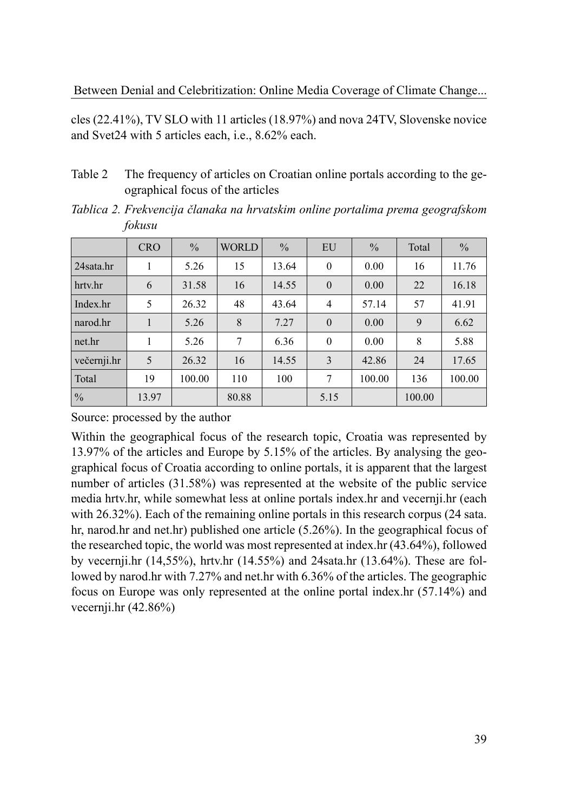cles (22.41%), TV SLO with 11 articles (18.97%) and nova 24TV, Slovenske novice and Svet24 with 5 articles each, i.e., 8.62% each.

Table 2 The frequency of articles on Croatian online portals according to the geographical focus of the articles

*Tablica 2. Frekvencija članaka na hrvatskim online portalima prema geografskom fokusu*

|               | <b>CRO</b> | $\frac{0}{0}$ | <b>WORLD</b> | $\frac{0}{0}$ | EU               | $\frac{0}{0}$ | Total  | $\frac{0}{0}$ |
|---------------|------------|---------------|--------------|---------------|------------------|---------------|--------|---------------|
| 24 sata hr    |            | 5.26          | 15           | 13.64         | $\mathbf{0}$     | 0.00          | 16     | 11.76         |
| hrtv.hr       | 6          | 31.58         | 16           | 14.55         | $\boldsymbol{0}$ | 0.00          | 22     | 16.18         |
| Index.hr      | 5          | 26.32         | 48           | 43.64         | $\overline{4}$   | 57.14         | 57     | 41.91         |
| narod.hr      |            | 5.26          | 8            | 7.27          | $\overline{0}$   | 0.00          | 9      | 6.62          |
| net.hr        | 1          | 5.26          | 7            | 6.36          | $\mathbf{0}$     | 0.00          | 8      | 5.88          |
| večernji.hr   | 5          | 26.32         | 16           | 14.55         | 3                | 42.86         | 24     | 17.65         |
| Total         | 19         | 100.00        | 110          | 100           | 7                | 100.00        | 136    | 100.00        |
| $\frac{0}{0}$ | 13.97      |               | 80.88        |               | 5.15             |               | 100.00 |               |

Source: processed by the author

Within the geographical focus of the research topic, Croatia was represented by 13.97% of the articles and Europe by 5.15% of the articles. By analysing the geographical focus of Croatia according to online portals, it is apparent that the largest number of articles (31.58%) was represented at the website of the public service media hrtv.hr, while somewhat less at online portals index.hr and vecernji.hr (each with 26.32%). Each of the remaining online portals in this research corpus (24 sata. hr, narod.hr and net.hr) published one article (5.26%). In the geographical focus of the researched topic, the world was most represented at index.hr (43.64%), followed by vecernji.hr (14,55%), hrtv.hr (14.55%) and 24sata.hr (13.64%). These are followed by narod.hr with 7.27% and net.hr with 6.36% of the articles. The geographic focus on Europe was only represented at the online portal index.hr (57.14%) and vecernji.hr (42.86%)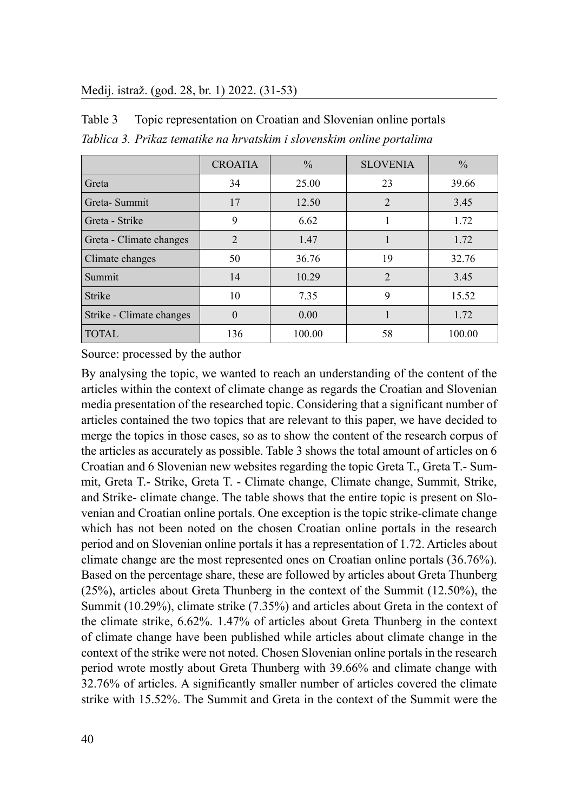#### Medij. istraž. (god. 28, br. 1) 2022. (31-53)

Table 3 Topic representation on Croatian and Slovenian online portals *Tablica 3. Prikaz tematike na hrvatskim i slovenskim online portalima*

|                          | <b>CROATIA</b> | $\frac{0}{0}$ | <b>SLOVENIA</b>             | $\frac{0}{0}$ |
|--------------------------|----------------|---------------|-----------------------------|---------------|
| Greta                    | 34             | 25.00         | 23                          | 39.66         |
| Greta-Summit             | 17             | 12.50         | 2                           | 3.45          |
| Greta - Strike           | 9              | 6.62          |                             | 1.72          |
| Greta - Climate changes  | $\mathfrak{D}$ | 1.47          |                             | 1.72          |
| Climate changes          | 50             | 36.76         | 19                          | 32.76         |
| Summit                   | 14             | 10.29         | $\mathcal{D}_{\mathcal{L}}$ | 3.45          |
| Strike                   | 10             | 7.35          | 9                           | 15.52         |
| Strike - Climate changes | $\theta$       | 0.00          |                             | 1.72          |
| <b>TOTAL</b>             | 136            | 100.00        | 58                          | 100.00        |

Source: processed by the author

By analysing the topic, we wanted to reach an understanding of the content of the articles within the context of climate change as regards the Croatian and Slovenian media presentation of the researched topic. Considering that a significant number of articles contained the two topics that are relevant to this paper, we have decided to merge the topics in those cases, so as to show the content of the research corpus of the articles as accurately as possible. Table 3 shows the total amount of articles on 6 Croatian and 6 Slovenian new websites regarding the topic Greta T., Greta T.- Summit, Greta T.- Strike, Greta T. - Climate change, Climate change, Summit, Strike, and Strike- climate change. The table shows that the entire topic is present on Slovenian and Croatian online portals. One exception is the topic strike-climate change which has not been noted on the chosen Croatian online portals in the research period and on Slovenian online portals it has a representation of 1.72. Articles about climate change are the most represented ones on Croatian online portals (36.76%). Based on the percentage share, these are followed by articles about Greta Thunberg (25%), articles about Greta Thunberg in the context of the Summit (12.50%), the Summit (10.29%), climate strike (7.35%) and articles about Greta in the context of the climate strike, 6.62%. 1.47% of articles about Greta Thunberg in the context of climate change have been published while articles about climate change in the context of the strike were not noted. Chosen Slovenian online portals in the research period wrote mostly about Greta Thunberg with 39.66% and climate change with 32.76% of articles. A significantly smaller number of articles covered the climate strike with 15.52%. The Summit and Greta in the context of the Summit were the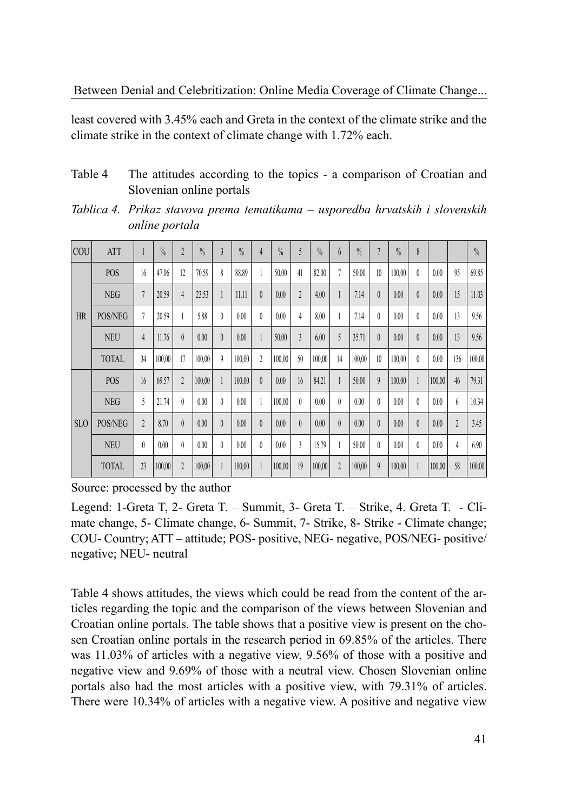least covered with 3.45% each and Greta in the context of the climate strike and the climate strike in the context of climate change with 1.72% each.

| Table 4 | The attitudes according to the topics - a comparison of Croatian and |
|---------|----------------------------------------------------------------------|
|         | Slovenian online portals                                             |

| Tablica 4. Prikaz stavova prema tematikama – usporedba hrvatskih i slovenskih |  |  |  |
|-------------------------------------------------------------------------------|--|--|--|
| online portala                                                                |  |  |  |

| COU        | <b>ATT</b>   | ı              | $\%$   | $\overline{2}$ | $\frac{0}{0}$ | $\overline{3}$   | $\frac{0}{0}$ | $\overline{4}$ | $\frac{0}{0}$ | 5                       | $\frac{0}{0}$ | $6\overline{6}$ | $\%$   | 7              | $\frac{0}{0}$ | 8        |        |                | $\frac{0}{0}$ |
|------------|--------------|----------------|--------|----------------|---------------|------------------|---------------|----------------|---------------|-------------------------|---------------|-----------------|--------|----------------|---------------|----------|--------|----------------|---------------|
|            | <b>POS</b>   | 16             | 47.06  | 12             | 70.59         | 8                | 88.89         | 1              | 50.00         | 41                      | 82.00         | 7               | 50.00  | 10             | 100,00        | $\theta$ | 0.00   | 95             | 69.85         |
|            | <b>NEG</b>   | 7              | 20.59  | $\overline{4}$ | 23.53         | 1                | 11.11         | $\theta$       | 0.00          | $\overline{2}$          | 4.00          | 1               | 7.14   | $\theta$       | 0.00          | $\theta$ | 0.00   | 15             | 11.03         |
| <b>HR</b>  | POS/NEG      | 7              | 20.59  |                | 5.88          | $\theta$         | 0.00          | $\theta$       | 0.00          | $\overline{4}$          | 8.00          | 1               | 7.14   | $\theta$       | 0.00          | $\theta$ | 0.00   | 13             | 9.56          |
|            | <b>NEU</b>   | $\overline{4}$ | 11.76  | $\theta$       | 0.00          | $\theta$         | 0.00          | 1              | 50.00         | $\overline{\mathbf{3}}$ | 6.00          | 5               | 35.71  | $\theta$       | 0.00          | $\theta$ | 0.00   | 13             | 9.56          |
|            | <b>TOTAL</b> | 34             | 100,00 | 17             | 100,00        | $\boldsymbol{9}$ | 100,00        | $\overline{2}$ | 100,00        | 50                      | 100,00        | 14              | 100,00 | 10             | 100,00        | $\theta$ | 0.00   | 136            | 100.00        |
|            | <b>POS</b>   | 16             | 69.57  | $\overline{2}$ | 100,00        | $\mathbf{1}$     | 100,00        | $\theta$       | 0.00          | 16                      | 84.21         | 1               | 50.00  | $\mathfrak{g}$ | 100,00        |          | 100,00 | 46             | 79.31         |
|            | <b>NEG</b>   | 5              | 21.74  | $\theta$       | 0.00          | $\theta$         | 0.00          | 1              | 100,00        | $\theta$                | 0.00          | $\theta$        | 0.00   | $\theta$       | 0.00          | $\theta$ | 0.00   | $\mathfrak{h}$ | 10.34         |
| <b>SLO</b> | POS/NEG      | $\overline{2}$ | 8.70   | $\theta$       | 0.00          | $\theta$         | 0.00          | $\theta$       | 0.00          | $\theta$                | 0.00          | $\theta$        | 0.00   | $\theta$       | 0.00          | $\theta$ | 0.00   | $\overline{2}$ | 3.45          |
|            | <b>NEU</b>   | $\theta$       | 0.00   | $\theta$       | 0.00          | $\theta$         | 0.00          | $\theta$       | 0.00          | 3                       | 15.79         |                 | 50.00  | $\theta$       | 0.00          | $\theta$ | 0.00   | 4              | 6.90          |
|            | <b>TOTAL</b> | 23             | 100,00 | $\overline{2}$ | 100,00        | 1                | 100,00        | 1              | 100,00        | 19                      | 100,00        | $\overline{2}$  | 100,00 | $\mathfrak{g}$ | 100,00        |          | 100,00 | 58             | 100.00        |

Source: processed by the author

Legend: 1-Greta T, 2- Greta T. – Summit, 3- Greta T. – Strike, 4. Greta T. - Climate change, 5- Climate change, 6- Summit, 7- Strike, 8- Strike - Climate change; COU- Country; ATT – attitude; POS- positive, NEG- negative, POS/NEG- positive/ negative; NEU- neutral

Table 4 shows attitudes, the views which could be read from the content of the articles regarding the topic and the comparison of the views between Slovenian and Croatian online portals. The table shows that a positive view is present on the chosen Croatian online portals in the research period in 69.85% of the articles. There was 11.03% of articles with a negative view, 9.56% of those with a positive and negative view and 9.69% of those with a neutral view. Chosen Slovenian online portals also had the most articles with a positive view, with 79.31% of articles. There were 10.34% of articles with a negative view. A positive and negative view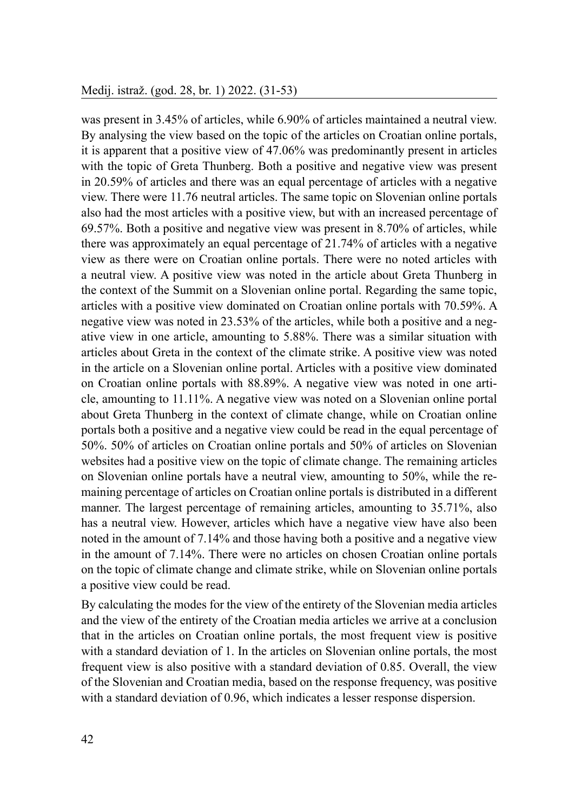was present in 3.45% of articles, while 6.90% of articles maintained a neutral view. By analysing the view based on the topic of the articles on Croatian online portals, it is apparent that a positive view of 47.06% was predominantly present in articles with the topic of Greta Thunberg. Both a positive and negative view was present in 20.59% of articles and there was an equal percentage of articles with a negative view. There were 11.76 neutral articles. The same topic on Slovenian online portals also had the most articles with a positive view, but with an increased percentage of 69.57%. Both a positive and negative view was present in 8.70% of articles, while there was approximately an equal percentage of 21.74% of articles with a negative view as there were on Croatian online portals. There were no noted articles with a neutral view. A positive view was noted in the article about Greta Thunberg in the context of the Summit on a Slovenian online portal. Regarding the same topic, articles with a positive view dominated on Croatian online portals with 70.59%. A negative view was noted in 23.53% of the articles, while both a positive and a negative view in one article, amounting to 5.88%. There was a similar situation with articles about Greta in the context of the climate strike. A positive view was noted in the article on a Slovenian online portal. Articles with a positive view dominated on Croatian online portals with 88.89%. A negative view was noted in one article, amounting to 11.11%. A negative view was noted on a Slovenian online portal about Greta Thunberg in the context of climate change, while on Croatian online portals both a positive and a negative view could be read in the equal percentage of 50%. 50% of articles on Croatian online portals and 50% of articles on Slovenian websites had a positive view on the topic of climate change. The remaining articles on Slovenian online portals have a neutral view, amounting to 50%, while the remaining percentage of articles on Croatian online portals is distributed in a different manner. The largest percentage of remaining articles, amounting to 35.71%, also has a neutral view. However, articles which have a negative view have also been noted in the amount of 7.14% and those having both a positive and a negative view in the amount of 7.14%. There were no articles on chosen Croatian online portals on the topic of climate change and climate strike, while on Slovenian online portals a positive view could be read.

By calculating the modes for the view of the entirety of the Slovenian media articles and the view of the entirety of the Croatian media articles we arrive at a conclusion that in the articles on Croatian online portals, the most frequent view is positive with a standard deviation of 1. In the articles on Slovenian online portals, the most frequent view is also positive with a standard deviation of 0.85. Overall, the view of the Slovenian and Croatian media, based on the response frequency, was positive with a standard deviation of 0.96, which indicates a lesser response dispersion.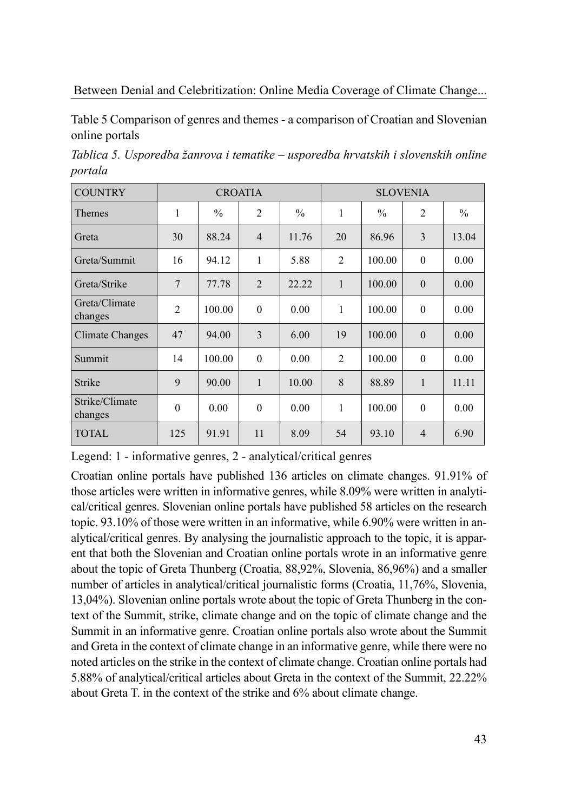Table 5 Comparison of genres and themes - a comparison of Croatian and Slovenian online portals

*Tablica 5. Usporedba žanrova i tematike – usporedba hrvatskih i slovenskih online portala*

| <b>COUNTRY</b>            |                |               | <b>CROATIA</b> |               | <b>SLOVENIA</b> |               |                |               |  |  |
|---------------------------|----------------|---------------|----------------|---------------|-----------------|---------------|----------------|---------------|--|--|
| <b>Themes</b>             | 1              | $\frac{0}{0}$ | $\overline{2}$ | $\frac{0}{0}$ | 1               | $\frac{0}{0}$ | $\overline{2}$ | $\frac{0}{0}$ |  |  |
| Greta                     | 30             | 88.24         | $\overline{4}$ | 11.76         | 20              | 86.96         | 3              | 13.04         |  |  |
| Greta/Summit              | 16             | 94.12         | $\mathbf{1}$   | 5.88          | $\overline{2}$  | 100.00        | $\theta$       | 0.00          |  |  |
| Greta/Strike              | $\overline{7}$ | 77.78         | $\overline{2}$ | 22.22         | $\mathbf{1}$    | 100.00        | $\theta$       | 0.00          |  |  |
| Greta/Climate<br>changes  | $\overline{2}$ | 100.00        | $\mathbf{0}$   | 0.00          | 1               | 100.00        | $\theta$       | 0.00          |  |  |
| Climate Changes           | 47             | 94.00         | 3              | 6.00          | 19              | 100.00        | $\theta$       | 0.00          |  |  |
| Summit                    | 14             | 100.00        | $\theta$       | 0.00          | $\overline{2}$  | 100.00        | $\theta$       | 0.00          |  |  |
| Strike                    | 9              | 90.00         | 1              | 10.00         | 8               | 88.89         | 1              | 11.11         |  |  |
| Strike/Climate<br>changes | $\theta$       | 0.00          | $\mathbf{0}$   | 0.00          | 1               | 100.00        | $\theta$       | 0.00          |  |  |
| <b>TOTAL</b>              | 125            | 91.91         | 11             | 8.09          | 54              | 93.10         | $\overline{4}$ | 6.90          |  |  |

Legend: 1 - informative genres, 2 - analytical/critical genres

Croatian online portals have published 136 articles on climate changes. 91.91% of those articles were written in informative genres, while 8.09% were written in analytical/critical genres. Slovenian online portals have published 58 articles on the research topic. 93.10% of those were written in an informative, while 6.90% were written in analytical/critical genres. By analysing the journalistic approach to the topic, it is apparent that both the Slovenian and Croatian online portals wrote in an informative genre about the topic of Greta Thunberg (Croatia, 88,92%, Slovenia, 86,96%) and a smaller number of articles in analytical/critical journalistic forms (Croatia, 11,76%, Slovenia, 13,04%). Slovenian online portals wrote about the topic of Greta Thunberg in the context of the Summit, strike, climate change and on the topic of climate change and the Summit in an informative genre. Croatian online portals also wrote about the Summit and Greta in the context of climate change in an informative genre, while there were no noted articles on the strike in the context of climate change. Croatian online portals had 5.88% of analytical/critical articles about Greta in the context of the Summit, 22.22% about Greta T. in the context of the strike and 6% about climate change.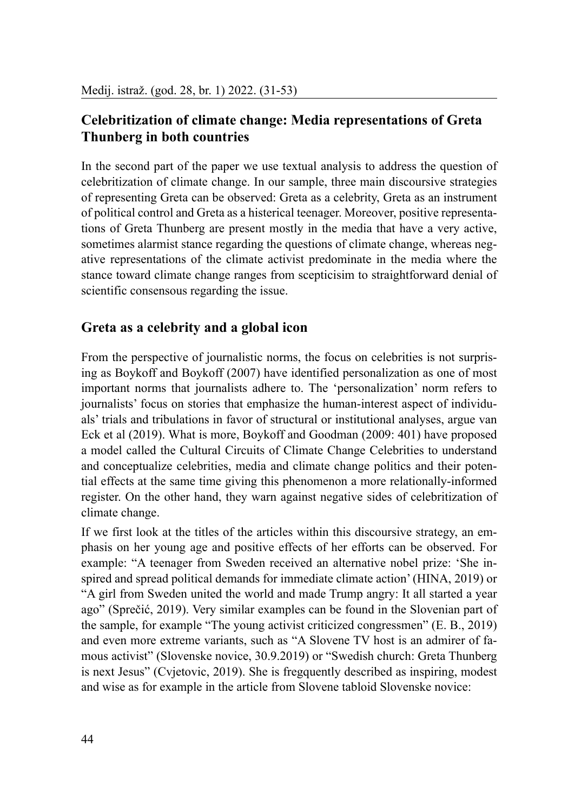# **Celebritization of climate change: Media representations of Greta Thunberg in both countries**

In the second part of the paper we use textual analysis to address the question of celebritization of climate change. In our sample, three main discoursive strategies of representing Greta can be observed: Greta as a celebrity, Greta as an instrument of political control and Greta as a histerical teenager. Moreover, positive representations of Greta Thunberg are present mostly in the media that have a very active, sometimes alarmist stance regarding the questions of climate change, whereas negative representations of the climate activist predominate in the media where the stance toward climate change ranges from scepticisim to straightforward denial of scientific consensous regarding the issue.

# **Greta as a celebrity and a global icon**

From the perspective of journalistic norms, the focus on celebrities is not surprising as Boykoff and Boykoff (2007) have identified personalization as one of most important norms that journalists adhere to. The 'personalization' norm refers to journalists' focus on stories that emphasize the human-interest aspect of individuals' trials and tribulations in favor of structural or institutional analyses, argue van Eck et al (2019). What is more, Boykoff and Goodman (2009: 401) have proposed a model called the Cultural Circuits of Climate Change Celebrities to understand and conceptualize celebrities, media and climate change politics and their potential effects at the same time giving this phenomenon a more relationally-informed register. On the other hand, they warn against negative sides of celebritization of climate change.

If we first look at the titles of the articles within this discoursive strategy, an emphasis on her young age and positive effects of her efforts can be observed. For example: "A teenager from Sweden received an alternative nobel prize: 'She inspired and spread political demands for immediate climate action' (HINA, 2019) or "A girl from Sweden united the world and made Trump angry: It all started a year ago" (Sprečić, 2019). Very similar examples can be found in the Slovenian part of the sample, for example "The young activist criticized congressmen" (E. B., 2019) and even more extreme variants, such as "A Slovene TV host is an admirer of famous activist" (Slovenske novice, 30.9.2019) or "Swedish church: Greta Thunberg is next Jesus" (Cvjetovic, 2019). She is fregquently described as inspiring, modest and wise as for example in the article from Slovene tabloid Slovenske novice: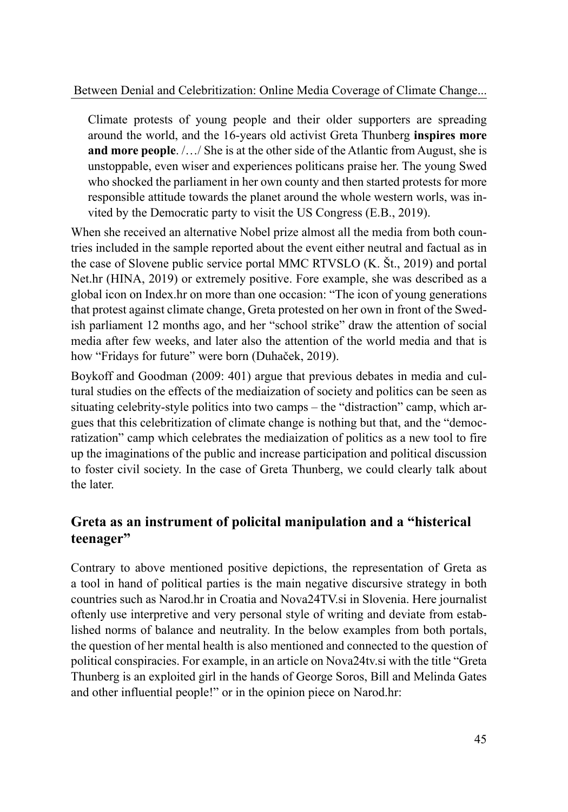Climate protests of young people and their older supporters are spreading around the world, and the 16-years old activist Greta Thunberg **inspires more and more people**. /…/ She is at the other side of the Atlantic from August, she is unstoppable, even wiser and experiences politicans praise her. The young Swed who shocked the parliament in her own county and then started protests for more responsible attitude towards the planet around the whole western worls, was invited by the Democratic party to visit the US Congress (E.B., 2019).

When she received an alternative Nobel prize almost all the media from both countries included in the sample reported about the event either neutral and factual as in the case of Slovene public service portal MMC RTVSLO (K. Št., 2019) and portal Net.hr (HINA, 2019) or extremely positive. Fore example, she was described as a global icon on Index.hr on more than one occasion: "The icon of young generations that protest against climate change, Greta protested on her own in front of the Swedish parliament 12 months ago, and her "school strike" draw the attention of social media after few weeks, and later also the attention of the world media and that is how "Fridays for future" were born (Duhaček, 2019).

Boykoff and Goodman (2009: 401) argue that previous debates in media and cultural studies on the effects of the mediaization of society and politics can be seen as situating celebrity-style politics into two camps – the "distraction" camp, which argues that this celebritization of climate change is nothing but that, and the "democratization" camp which celebrates the mediaization of politics as a new tool to fire up the imaginations of the public and increase participation and political discussion to foster civil society. In the case of Greta Thunberg, we could clearly talk about the later.

# **Greta as an instrument of policital manipulation and a "histerical teenager"**

Contrary to above mentioned positive depictions, the representation of Greta as a tool in hand of political parties is the main negative discursive strategy in both countries such as Narod.hr in Croatia and Nova24TV.si in Slovenia. Here journalist oftenly use interpretive and very personal style of writing and deviate from established norms of balance and neutrality. In the below examples from both portals, the question of her mental health is also mentioned and connected to the question of political conspiracies. For example, in an article on Nova24tv.si with the title "Greta Thunberg is an exploited girl in the hands of George Soros, Bill and Melinda Gates and other influential people!" or in the opinion piece on Narod.hr: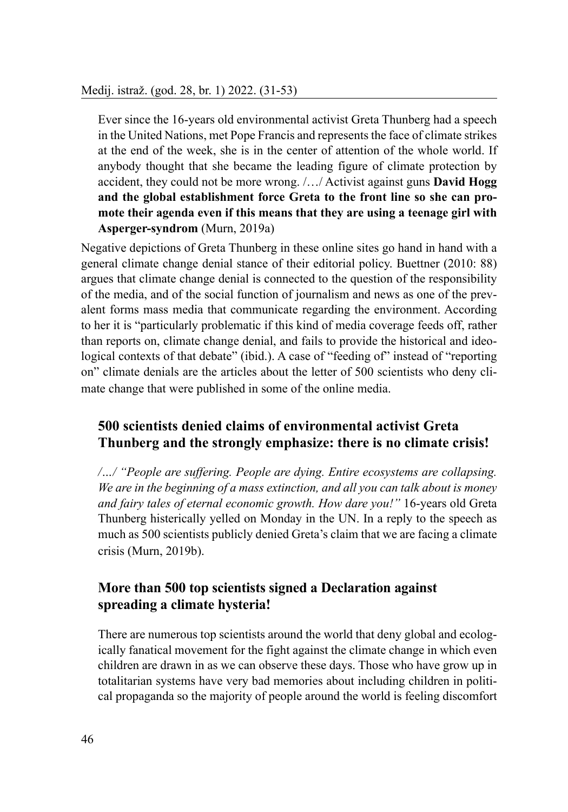Ever since the 16-years old environmental activist Greta Thunberg had a speech in the United Nations, met Pope Francis and represents the face of climate strikes at the end of the week, she is in the center of attention of the whole world. If anybody thought that she became the leading figure of climate protection by accident, they could not be more wrong. /…/ Activist against guns **David Hogg and the global establishment force Greta to the front line so she can promote their agenda even if this means that they are using a teenage girl with Asperger-syndrom** (Murn, 2019a)

Negative depictions of Greta Thunberg in these online sites go hand in hand with a general climate change denial stance of their editorial policy. Buettner (2010: 88) argues that climate change denial is connected to the question of the responsibility of the media, and of the social function of journalism and news as one of the prevalent forms mass media that communicate regarding the environment. According to her it is "particularly problematic if this kind of media coverage feeds off, rather than reports on, climate change denial, and fails to provide the historical and ideological contexts of that debate" (ibid.). A case of "feeding of" instead of "reporting on" climate denials are the articles about the letter of 500 scientists who deny climate change that were published in some of the online media.

# **500 scientists denied claims of environmental activist Greta Thunberg and the strongly emphasize: there is no climate crisis!**

*/…/ "People are suffering. People are dying. Entire ecosystems are collapsing. We are in the beginning of a mass extinction, and all you can talk about is money and fairy tales of eternal economic growth. How dare you!"* 16-years old Greta Thunberg histerically yelled on Monday in the UN. In a reply to the speech as much as 500 scientists publicly denied Greta's claim that we are facing a climate crisis (Murn, 2019b).

### **More than 500 top scientists signed a Declaration against spreading a climate hysteria!**

There are numerous top scientists around the world that deny global and ecologically fanatical movement for the fight against the climate change in which even children are drawn in as we can observe these days. Those who have grow up in totalitarian systems have very bad memories about including children in political propaganda so the majority of people around the world is feeling discomfort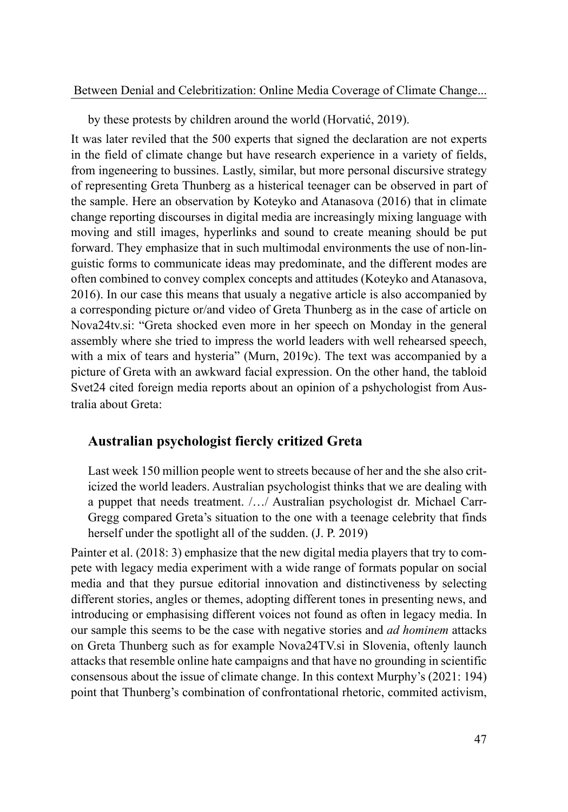by these protests by children around the world (Horvatić, 2019).

It was later reviled that the 500 experts that signed the declaration are not experts in the field of climate change but have research experience in a variety of fields, from ingeneering to bussines. Lastly, similar, but more personal discursive strategy of representing Greta Thunberg as a histerical teenager can be observed in part of the sample. Here an observation by Koteyko and Atanasova (2016) that in climate change reporting discourses in digital media are increasingly mixing language with moving and still images, hyperlinks and sound to create meaning should be put forward. They emphasize that in such multimodal environments the use of non-linguistic forms to communicate ideas may predominate, and the different modes are often combined to convey complex concepts and attitudes (Koteyko and Atanasova, 2016). In our case this means that usualy a negative article is also accompanied by a corresponding picture or/and video of Greta Thunberg as in the case of article on Nova24tv.si: "Greta shocked even more in her speech on Monday in the general assembly where she tried to impress the world leaders with well rehearsed speech, with a mix of tears and hysteria" (Murn, 2019c). The text was accompanied by a picture of Greta with an awkward facial expression. On the other hand, the tabloid Svet24 cited foreign media reports about an opinion of a pshychologist from Australia about Greta:

#### **Australian psychologist fiercly critized Greta**

Last week 150 million people went to streets because of her and the she also criticized the world leaders. Australian psychologist thinks that we are dealing with a puppet that needs treatment. /…/ Australian psychologist dr. Michael Carr-Gregg compared Greta's situation to the one with a teenage celebrity that finds herself under the spotlight all of the sudden. (J. P. 2019)

Painter et al. (2018: 3) emphasize that the new digital media players that try to compete with legacy media experiment with a wide range of formats popular on social media and that they pursue editorial innovation and distinctiveness by selecting different stories, angles or themes, adopting different tones in presenting news, and introducing or emphasising different voices not found as often in legacy media. In our sample this seems to be the case with negative stories and *ad hominem* attacks on Greta Thunberg such as for example Nova24TV.si in Slovenia, oftenly launch attacks that resemble online hate campaigns and that have no grounding in scientific consensous about the issue of climate change. In this context Murphy's (2021: 194) point that Thunberg's combination of confrontational rhetoric, commited activism,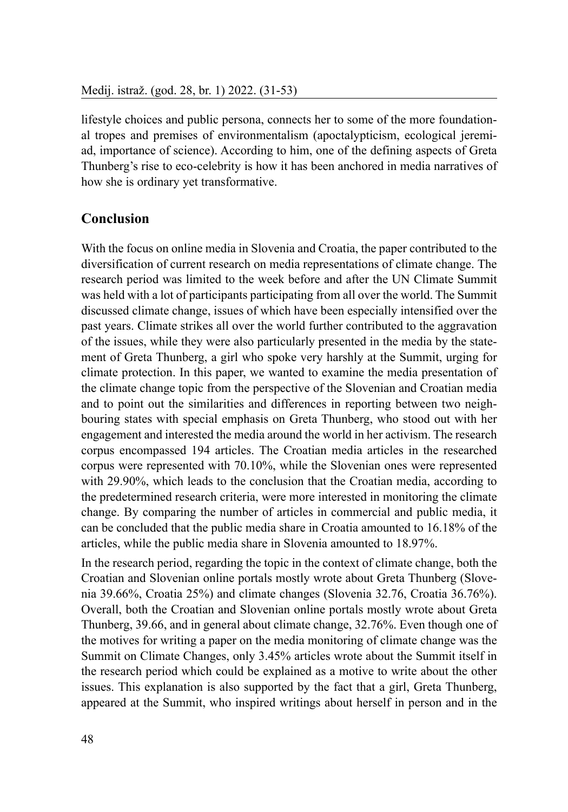lifestyle choices and public persona, connects her to some of the more foundational tropes and premises of environmentalism (apoctalypticism, ecological jeremiad, importance of science). According to him, one of the defining aspects of Greta Thunberg's rise to eco-celebrity is how it has been anchored in media narratives of how she is ordinary yet transformative.

# **Conclusion**

With the focus on online media in Slovenia and Croatia, the paper contributed to the diversification of current research on media representations of climate change. The research period was limited to the week before and after the UN Climate Summit was held with a lot of participants participating from all over the world. The Summit discussed climate change, issues of which have been especially intensified over the past years. Climate strikes all over the world further contributed to the aggravation of the issues, while they were also particularly presented in the media by the statement of Greta Thunberg, a girl who spoke very harshly at the Summit, urging for climate protection. In this paper, we wanted to examine the media presentation of the climate change topic from the perspective of the Slovenian and Croatian media and to point out the similarities and differences in reporting between two neighbouring states with special emphasis on Greta Thunberg, who stood out with her engagement and interested the media around the world in her activism. The research corpus encompassed 194 articles. The Croatian media articles in the researched corpus were represented with 70.10%, while the Slovenian ones were represented with 29.90%, which leads to the conclusion that the Croatian media, according to the predetermined research criteria, were more interested in monitoring the climate change. By comparing the number of articles in commercial and public media, it can be concluded that the public media share in Croatia amounted to 16.18% of the articles, while the public media share in Slovenia amounted to 18.97%.

In the research period, regarding the topic in the context of climate change, both the Croatian and Slovenian online portals mostly wrote about Greta Thunberg (Slovenia 39.66%, Croatia 25%) and climate changes (Slovenia 32.76, Croatia 36.76%). Overall, both the Croatian and Slovenian online portals mostly wrote about Greta Thunberg, 39.66, and in general about climate change, 32.76%. Even though one of the motives for writing a paper on the media monitoring of climate change was the Summit on Climate Changes, only 3.45% articles wrote about the Summit itself in the research period which could be explained as a motive to write about the other issues. This explanation is also supported by the fact that a girl, Greta Thunberg, appeared at the Summit, who inspired writings about herself in person and in the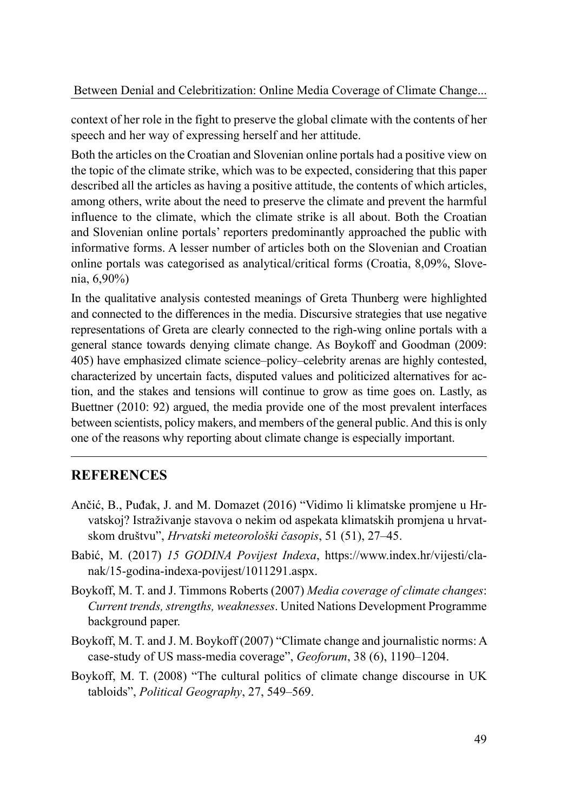context of her role in the fight to preserve the global climate with the contents of her speech and her way of expressing herself and her attitude.

Both the articles on the Croatian and Slovenian online portals had a positive view on the topic of the climate strike, which was to be expected, considering that this paper described all the articles as having a positive attitude, the contents of which articles, among others, write about the need to preserve the climate and prevent the harmful influence to the climate, which the climate strike is all about. Both the Croatian and Slovenian online portals' reporters predominantly approached the public with informative forms. A lesser number of articles both on the Slovenian and Croatian online portals was categorised as analytical/critical forms (Croatia, 8,09%, Slovenia, 6,90%)

In the qualitative analysis contested meanings of Greta Thunberg were highlighted and connected to the differences in the media. Discursive strategies that use negative representations of Greta are clearly connected to the righ-wing online portals with a general stance towards denying climate change. As Boykoff and Goodman (2009: 405) have emphasized climate science–policy–celebrity arenas are highly contested, characterized by uncertain facts, disputed values and politicized alternatives for action, and the stakes and tensions will continue to grow as time goes on. Lastly, as Buettner (2010: 92) argued, the media provide one of the most prevalent interfaces between scientists, policy makers, and members of the general public. And this is only one of the reasons why reporting about climate change is especially important.

### **REFERENCES**

- Ančić, B., Puđak, J. and M. Domazet (2016) "Vidimo li klimatske promjene u Hrvatskoj? Istraživanje stavova o nekim od aspekata klimatskih promjena u hrvatskom društvu", *Hrvatski meteorološki časopis*, 51 (51), 27–45.
- Babić, M. (2017) *15 GODINA Povijest Indexa*, https://www.index.hr/vijesti/clanak/15-godina-indexa-povijest/1011291.aspx.
- Boykoff, M. T. and J. Timmons Roberts (2007) *Media coverage of climate changes*: *Current trends, strengths, weaknesses*. United Nations Development Programme background paper.
- Boykoff, M. T. and J. M. Boykoff (2007) "Climate change and journalistic norms: A case-study of US mass-media coverage", *Geoforum*, 38 (6), 1190–1204.
- Boykoff, M. T. (2008) "The cultural politics of climate change discourse in UK tabloids", *Political Geography*, 27, 549–569.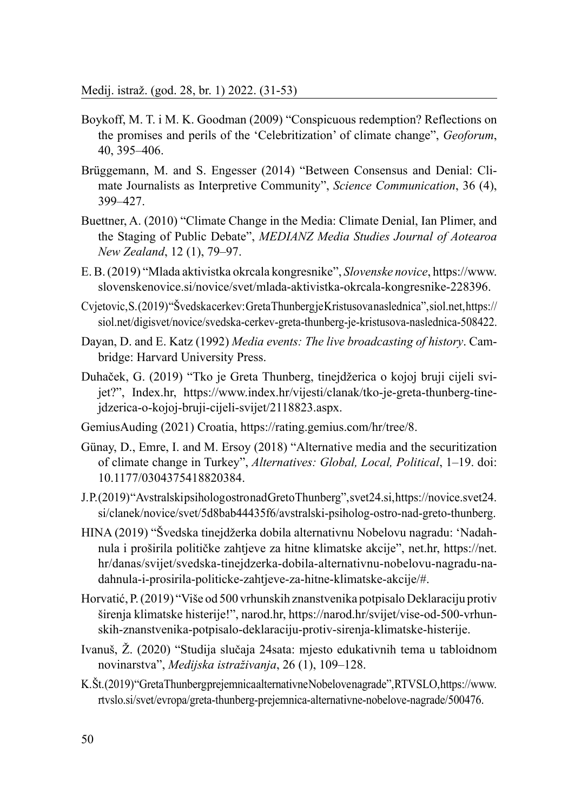- Boykoff, M. T. i M. K. Goodman (2009) "Conspicuous redemption? Reflections on the promises and perils of the 'Celebritization' of climate change", *Geoforum*, 40, 395–406.
- Brüggemann, M. and S. Engesser (2014) "Between Consensus and Denial: Climate Journalists as Interpretive Community", *Science Communication*, 36 (4), 399–427.
- Buettner, A. (2010) "Climate Change in the Media: Climate Denial, Ian Plimer, and the Staging of Public Debate", *MEDIANZ Media Studies Journal of Aotearoa New Zealand*, 12 (1), 79–97.
- E. B. (2019) "Mlada aktivistka okrcala kongresnike", *Slovenske novice*, https://www. slovenskenovice.si/novice/svet/mlada-aktivistka-okrcala-kongresnike-228396.
- Cvjetovic, S. (2019) "Švedska cerkev: Greta Thunberg je Kristusova naslednica", siol.net, https:// siol.net/digisvet/novice/svedska-cerkev-greta-thunberg-je-kristusova-naslednica-508422.
- Dayan, D. and E. Katz (1992) *Media events: The live broadcasting of history*. Cambridge: Harvard University Press.
- Duhaček, G. (2019) "Tko je Greta Thunberg, tinejdžerica o kojoj bruji cijeli svijet?", Index.hr, https://www.index.hr/vijesti/clanak/tko-je-greta-thunberg-tinejdzerica-o-kojoj-bruji-cijeli-svijet/2118823.aspx.
- GemiusAuding (2021) Croatia, https://rating.gemius.com/hr/tree/8.
- Günay, D., Emre, I. and M. Ersoy (2018) "Alternative media and the securitization of climate change in Turkey", *Alternatives: Global, Local, Political*, 1–19. doi: 10.1177/0304375418820384.
- J. P. (2019) "Avstralski psiholog ostro nad Greto Thunberg", svet24.si, https://novice.svet24. si/clanek/novice/svet/5d8bab44435f6/avstralski-psiholog-ostro-nad-greto-thunberg.
- HINA (2019) "Švedska tinejdžerka dobila alternativnu Nobelovu nagradu: 'Nadahnula i proširila političke zahtjeve za hitne klimatske akcije", net.hr, https://net. hr/danas/svijet/svedska-tinejdzerka-dobila-alternativnu-nobelovu-nagradu-nadahnula-i-prosirila-politicke-zahtjeve-za-hitne-klimatske-akcije/#.
- Horvatić, P. (2019) "Više od 500 vrhunskih znanstvenika potpisalo Deklaraciju protiv širenja klimatske histerije!", narod.hr, https://narod.hr/svijet/vise-od-500-vrhunskih-znanstvenika-potpisalo-deklaraciju-protiv-sirenja-klimatske-histerije.
- Ivanuš, Ž. (2020) "Studija slučaja 24sata: mjesto edukativnih tema u tabloidnom novinarstva", *Medijska istraživanja*, 26 (1), 109–128.
- K. Št. (2019) "Greta Thunberg prejemnica alternativne Nobelove nagrade", RTV SLO, https://www. rtvslo.si/svet/evropa/greta-thunberg-prejemnica-alternativne-nobelove-nagrade/500476.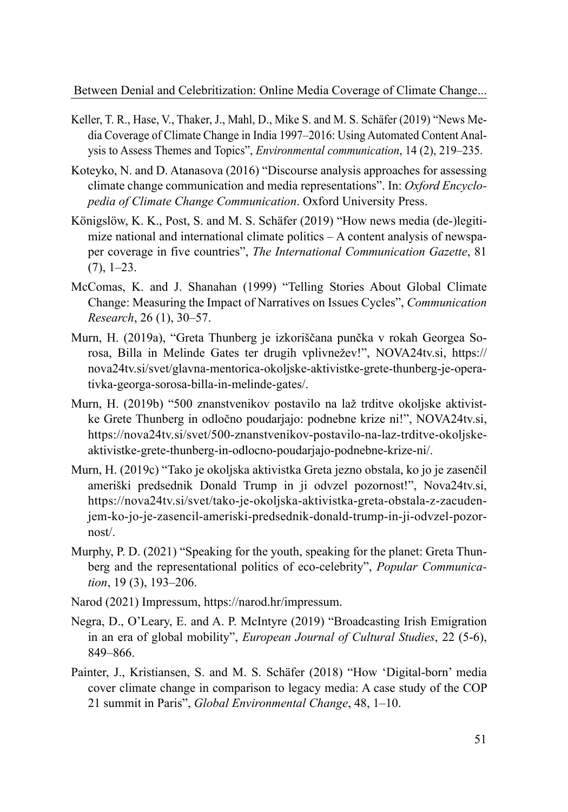- Keller, T. R., Hase, V., Thaker, J., Mahl, D., Mike S. and M. S. Schäfer (2019) "News Media Coverage of Climate Change in India 1997–2016: Using Automated Content Analysis to Assess Themes and Topics", *Environmental communication*, 14 (2), 219–235.
- Koteyko, N. and D. Atanasova (2016) "Discourse analysis approaches for assessing climate change communication and media representations". In: *Oxford Encyclopedia of Climate Change Communication*. Oxford University Press.
- Königslöw, K. K., Post, S. and M. S. Schäfer (2019) "How news media (de-)legitimize national and international climate politics – A content analysis of newspaper coverage in five countries", *The International Communication Gazette*, 81  $(7), 1-23.$
- McComas, K. and J. Shanahan (1999) "Telling Stories About Global Climate Change: Measuring the Impact of Narratives on Issues Cycles", *Communication Research*, 26 (1), 30–57.
- Murn, H. (2019a), "Greta Thunberg je izkoriščana punčka v rokah Georgea Sorosa, Billa in Melinde Gates ter drugih vplivnežev!", NOVA24tv.si, https:// nova24tv.si/svet/glavna-mentorica-okoljske-aktivistke-grete-thunberg-je-operativka-georga-sorosa-billa-in-melinde-gates/.
- Murn, H. (2019b) "500 znanstvenikov postavilo na laž trditve okoljske aktivistke Grete Thunberg in odločno poudarjajo: podnebne krize ni!", NOVA24tv.si, https://nova24tv.si/svet/500-znanstvenikov-postavilo-na-laz-trditve-okoljskeaktivistke-grete-thunberg-in-odlocno-poudarjajo-podnebne-krize-ni/.
- Murn, H. (2019c) "Tako je okoljska aktivistka Greta jezno obstala, ko jo je zasenčil ameriški predsednik Donald Trump in ji odvzel pozornost!", Nova24tv.si, https://nova24tv.si/svet/tako-je-okoljska-aktivistka-greta-obstala-z-zacudenjem-ko-jo-je-zasencil-ameriski-predsednik-donald-trump-in-ji-odvzel-pozornost/.
- Murphy, P. D. (2021) "Speaking for the youth, speaking for the planet: Greta Thunberg and the representational politics of eco-celebrity", *Popular Communication*, 19 (3), 193–206.
- Narod (2021) Impressum, https://narod.hr/impressum.
- Negra, D., O'Leary, E. and A. P. McIntyre (2019) "Broadcasting Irish Emigration in an era of global mobility", *European Journal of Cultural Studies*, 22 (5-6), 849–866.
- Painter, J., Kristiansen, S. and M. S. Schäfer (2018) "How 'Digital-born' media cover climate change in comparison to legacy media: A case study of the COP 21 summit in Paris", *Global Environmental Change*, 48, 1–10.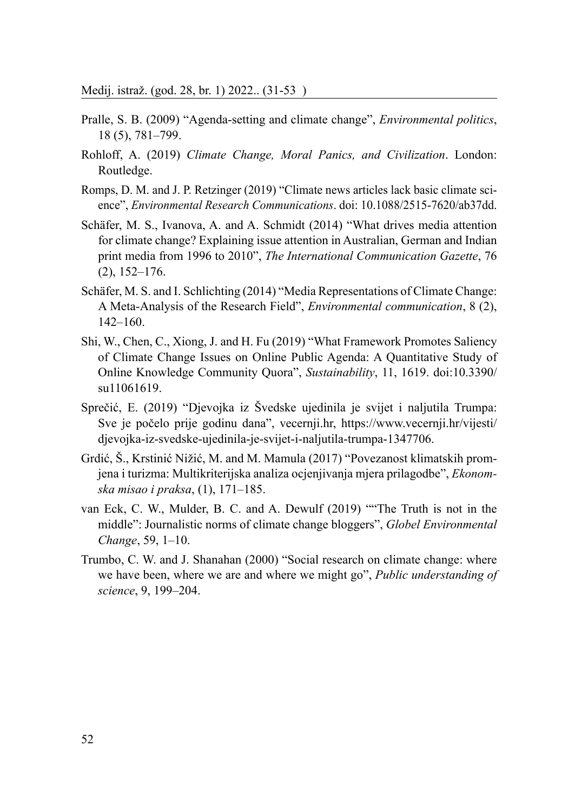- Pralle, S. B. (2009) "Agenda-setting and climate change", *Environmental politics*, 18 (5), 781–799.
- Rohloff, A. (2019) *Climate Change, Moral Panics, and Civilization*. London: Routledge.
- Romps, D. M. and J. P. Retzinger (2019) "Climate news articles lack basic climate science", *Environmental Research Communications*. doi: 10.1088/2515-7620/ab37dd.
- Schäfer, M. S., Ivanova, A. and A. Schmidt (2014) "What drives media attention for climate change? Explaining issue attention in Australian, German and Indian print media from 1996 to 2010", *The International Communication Gazette*, 76 (2), 152–176.
- Schäfer, M. S. and I. Schlichting (2014) "Media Representations of Climate Change: A Meta-Analysis of the Research Field", *Environmental communication*, 8 (2), 142–160.
- Shi, W., Chen, C., Xiong, J. and H. Fu (2019) "What Framework Promotes Saliency of Climate Change Issues on Online Public Agenda: A Quantitative Study of Online Knowledge Community Quora", *Sustainability*, 11, 1619. doi:10.3390/ su11061619.
- Sprečić, E. (2019) "Djevojka iz Švedske ujedinila je svijet i naljutila Trumpa: Sve je počelo prije godinu dana", vecernji.hr, https://www.vecernji.hr/vijesti/ djevojka-iz-svedske-ujedinila-je-svijet-i-naljutila-trumpa-1347706.
- Grdić, Š., Krstinić Nižić, M. and M. Mamula (2017) "Povezanost klimatskih promjena i turizma: Multikriterijska analiza ocjenjivanja mjera prilagodbe", *Ekonomska misao i praksa*, (1), 171–185.
- van Eck, C. W., Mulder, B. C. and A. Dewulf (2019) ""The Truth is not in the middle": Journalistic norms of climate change bloggers", *Globel Environmental Change*, 59, 1–10.
- Trumbo, C. W. and J. Shanahan (2000) "Social research on climate change: where we have been, where we are and where we might go", *Public understanding of science*, 9, 199–204.